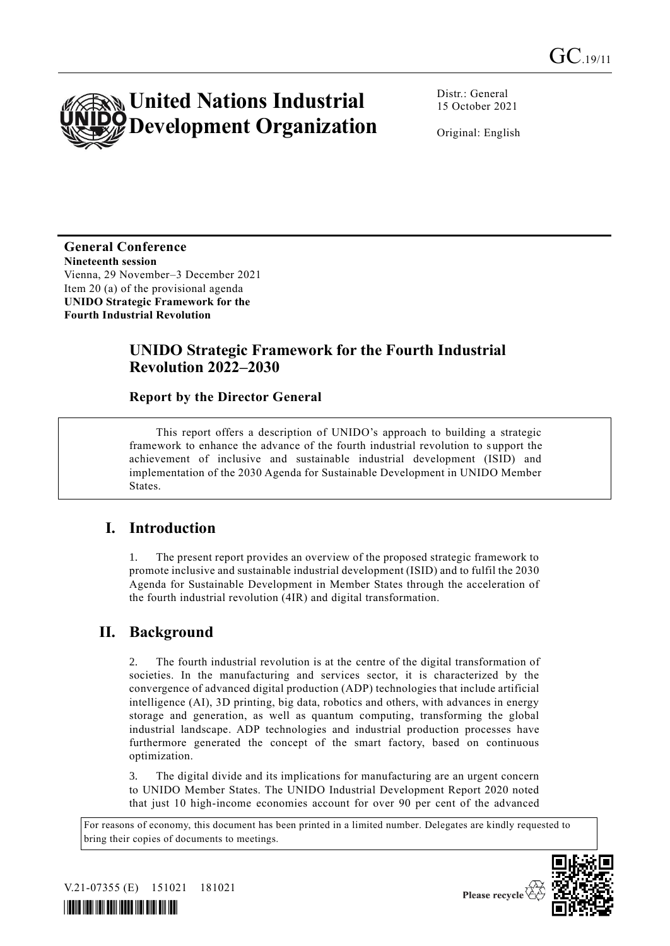

Distr.: General 15 October 2021

Original: English

**General Conference Nineteenth session** Vienna, 29 November–3 December 2021 Item 20 (a) of the provisional agenda **UNIDO Strategic Framework for the Fourth Industrial Revolution**

## **UNIDO Strategic Framework for the Fourth Industrial Revolution 2022–2030**

### **Report by the Director General**

This report offers a description of UNIDO's approach to building a strategic framework to enhance the advance of the fourth industrial revolution to s upport the achievement of inclusive and sustainable industrial development (ISID) and implementation of the 2030 Agenda for Sustainable Development in UNIDO Member States.

## **I. Introduction**

1. The present report provides an overview of the proposed strategic framework to promote inclusive and sustainable industrial development (ISID) and to fulfil the 2030 Agenda for Sustainable Development in Member States through the acceleration of the fourth industrial revolution (4IR) and digital transformation.

# **II. Background**

The fourth industrial revolution is at the centre of the digital transformation of societies. In the manufacturing and services sector, it is characterized by the convergence of advanced digital production (ADP) technologies that include artificial intelligence (AI), 3D printing, big data, robotics and others, with advances in energy storage and generation, as well as quantum computing, transforming the global industrial landscape. ADP technologies and industrial production processes have furthermore generated the concept of the smart factory, based on continuous optimization.

3. The digital divide and its implications for manufacturing are an urgent concern to UNIDO Member States. The UNIDO Industrial Development Report 2020 noted that just 10 high-income economies account for over 90 per cent of the advanced

For reasons of economy, this document has been printed in a limited number. Delegates are kindly requested to bring their copies of documents to meetings.



V.21-07355 (E) 151021 181021 *\*2107355\**

Please recycle  $\overline{\mathcal{C}}$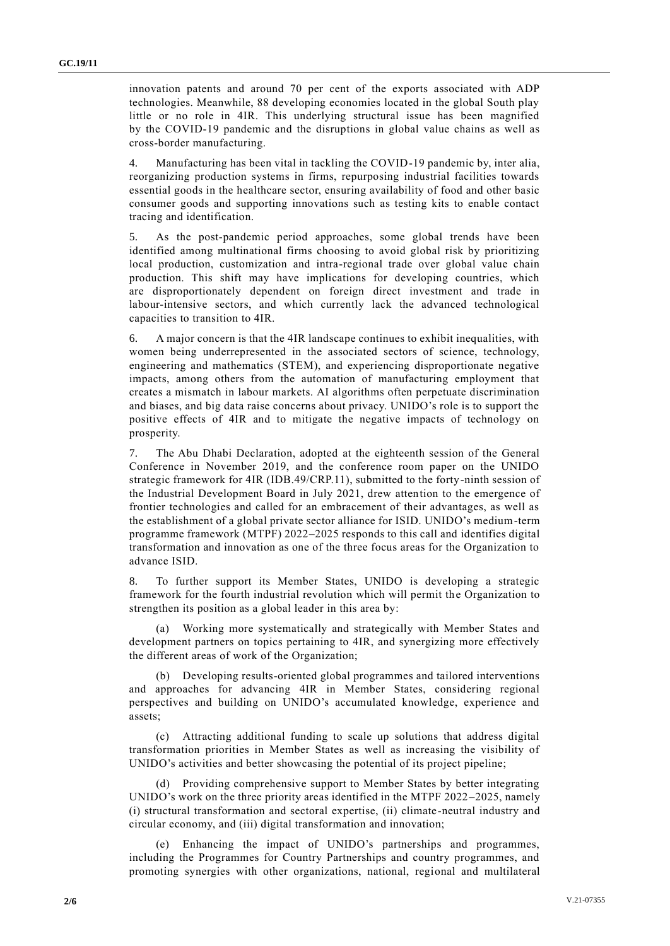innovation patents and around 70 per cent of the exports associated with ADP technologies. Meanwhile, 88 developing economies located in the global South play little or no role in 4IR. This underlying structural issue has been magnified by the COVID-19 pandemic and the disruptions in global value chains as well as cross-border manufacturing.

4. Manufacturing has been vital in tackling the COVID-19 pandemic by, inter alia, reorganizing production systems in firms, repurposing industrial facilities towards essential goods in the healthcare sector, ensuring availability of food and other basic consumer goods and supporting innovations such as testing kits to enable contact tracing and identification.

5. As the post-pandemic period approaches, some global trends have been identified among multinational firms choosing to avoid global risk by prioritizing local production, customization and intra-regional trade over global value chain production. This shift may have implications for developing countries, which are disproportionately dependent on foreign direct investment and trade in labour-intensive sectors, and which currently lack the advanced technological capacities to transition to 4IR.

6. A major concern is that the 4IR landscape continues to exhibit inequalities, with women being underrepresented in the associated sectors of science, technology, engineering and mathematics (STEM), and experiencing disproportionate negative impacts, among others from the automation of manufacturing employment that creates a mismatch in labour markets. AI algorithms often perpetuate discrimination and biases, and big data raise concerns about privacy. UNIDO's role is to support the positive effects of 4IR and to mitigate the negative impacts of technology on prosperity.

7. The Abu Dhabi Declaration, adopted at the eighteenth session of the General Conference in November 2019, and the conference room paper on the UNIDO strategic framework for 4IR (IDB.49/CRP.11), submitted to the forty-ninth session of the Industrial Development Board in July 2021, drew attention to the emergence of frontier technologies and called for an embracement of their advantages, as well as the establishment of a global private sector alliance for ISID. UNIDO's medium-term programme framework (MTPF) 2022–2025 responds to this call and identifies digital transformation and innovation as one of the three focus areas for the Organization to advance ISID.

8. To further support its Member States, UNIDO is developing a strategic framework for the fourth industrial revolution which will permit the Organization to strengthen its position as a global leader in this area by:

(a) Working more systematically and strategically with Member States and development partners on topics pertaining to 4IR, and synergizing more effectively the different areas of work of the Organization;

(b) Developing results-oriented global programmes and tailored interventions and approaches for advancing 4IR in Member States, considering regional perspectives and building on UNIDO's accumulated knowledge, experience and assets;

(c) Attracting additional funding to scale up solutions that address digital transformation priorities in Member States as well as increasing the visibility of UNIDO's activities and better showcasing the potential of its project pipeline;

(d) Providing comprehensive support to Member States by better integrating UNIDO's work on the three priority areas identified in the MTPF 2022–2025, namely (i) structural transformation and sectoral expertise, (ii) climate-neutral industry and circular economy, and (iii) digital transformation and innovation;

(e) Enhancing the impact of UNIDO's partnerships and programmes, including the Programmes for Country Partnerships and country programmes, and promoting synergies with other organizations, national, regional and multilateral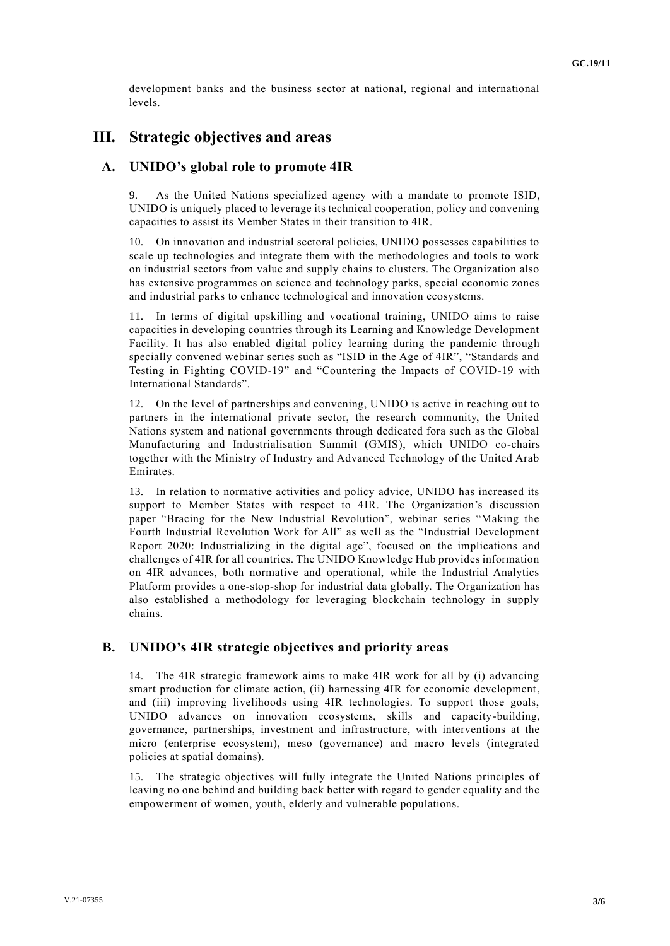development banks and the business sector at national, regional and international levels.

### **III. Strategic objectives and areas**

#### **A. UNIDO's global role to promote 4IR**

9. As the United Nations specialized agency with a mandate to promote ISID, UNIDO is uniquely placed to leverage its technical cooperation, policy and convening capacities to assist its Member States in their transition to 4IR.

10. On innovation and industrial sectoral policies, UNIDO possesses capabilities to scale up technologies and integrate them with the methodologies and tools to work on industrial sectors from value and supply chains to clusters. The Organization also has extensive programmes on science and technology parks, special economic zones and industrial parks to enhance technological and innovation ecosystems.

11. In terms of digital upskilling and vocational training, UNIDO aims to raise capacities in developing countries through its Learning and Knowledge Development Facility. It has also enabled digital policy learning during the pandemic through specially convened webinar series such as "ISID in the Age of 4IR", "Standards and Testing in Fighting COVID-19" and "Countering the Impacts of COVID-19 with International Standards".

12. On the level of partnerships and convening, UNIDO is active in reaching out to partners in the international private sector, the research community, the United Nations system and national governments through dedicated fora such as the Global Manufacturing and Industrialisation Summit (GMIS), which UNIDO co-chairs together with the Ministry of Industry and Advanced Technology of the United Arab Emirates.

13. In relation to normative activities and policy advice, UNIDO has increased its support to Member States with respect to 4IR. The Organization's discussion paper "Bracing for the New Industrial Revolution", webinar series "Making the Fourth Industrial Revolution Work for All" as well as the "Industrial Development Report 2020: Industrializing in the digital age", focused on the implications and challenges of 4IR for all countries. The UNIDO Knowledge Hub provides information on 4IR advances, both normative and operational, while the Industrial Analytics Platform provides a one-stop-shop for industrial data globally. The Organization has also established a methodology for leveraging blockchain technology in supply chains.

#### **B. UNIDO's 4IR strategic objectives and priority areas**

14. The 4IR strategic framework aims to make 4IR work for all by (i) advancing smart production for climate action, (ii) harnessing 4IR for economic development, and (iii) improving livelihoods using 4IR technologies. To support those goals, UNIDO advances on innovation ecosystems, skills and capacity-building, governance, partnerships, investment and infrastructure, with interventions at the micro (enterprise ecosystem), meso (governance) and macro levels (integrated policies at spatial domains).

15. The strategic objectives will fully integrate the United Nations principles of leaving no one behind and building back better with regard to gender equality and the empowerment of women, youth, elderly and vulnerable populations.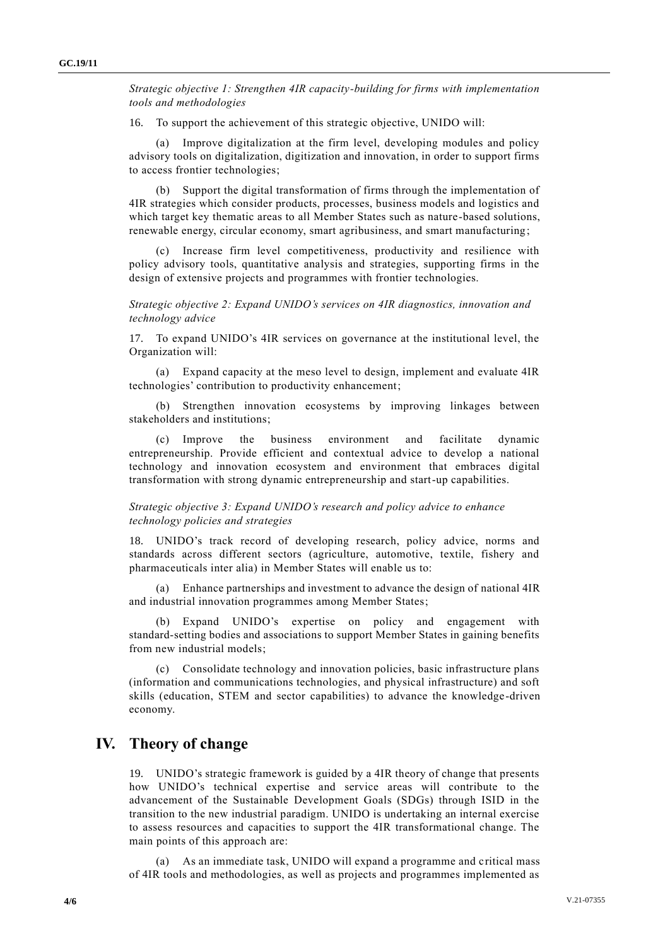*Strategic objective 1: Strengthen 4IR capacity-building for firms with implementation tools and methodologies*

16. To support the achievement of this strategic objective, UNIDO will:

(a) Improve digitalization at the firm level, developing modules and policy advisory tools on digitalization, digitization and innovation, in order to support firms to access frontier technologies;

(b) Support the digital transformation of firms through the implementation of 4IR strategies which consider products, processes, business models and logistics and which target key thematic areas to all Member States such as nature-based solutions, renewable energy, circular economy, smart agribusiness, and smart manufacturing;

(c) Increase firm level competitiveness, productivity and resilience with policy advisory tools, quantitative analysis and strategies, supporting firms in the design of extensive projects and programmes with frontier technologies.

*Strategic objective 2: Expand UNIDO's services on 4IR diagnostics, innovation and technology advice*

17. To expand UNIDO's 4IR services on governance at the institutional level, the Organization will:

(a) Expand capacity at the meso level to design, implement and evaluate 4IR technologies' contribution to productivity enhancement;

(b) Strengthen innovation ecosystems by improving linkages between stakeholders and institutions;

(c) Improve the business environment and facilitate dynamic entrepreneurship. Provide efficient and contextual advice to develop a national technology and innovation ecosystem and environment that embraces digital transformation with strong dynamic entrepreneurship and start-up capabilities.

#### *Strategic objective 3: Expand UNIDO's research and policy advice to enhance technology policies and strategies*

18. UNIDO's track record of developing research, policy advice, norms and standards across different sectors (agriculture, automotive, textile, fishery and pharmaceuticals inter alia) in Member States will enable us to:

(a) Enhance partnerships and investment to advance the design of national 4IR and industrial innovation programmes among Member States;

(b) Expand UNIDO's expertise on policy and engagement with standard-setting bodies and associations to support Member States in gaining benefits from new industrial models;

(c) Consolidate technology and innovation policies, basic infrastructure plans (information and communications technologies, and physical infrastructure) and soft skills (education, STEM and sector capabilities) to advance the knowledge-driven economy.

### **IV. Theory of change**

19. UNIDO's strategic framework is guided by a 4IR theory of change that presents how UNIDO's technical expertise and service areas will contribute to the advancement of the Sustainable Development Goals (SDGs) through ISID in the transition to the new industrial paradigm. UNIDO is undertaking an internal exercise to assess resources and capacities to support the 4IR transformational change. The main points of this approach are:

(a) As an immediate task, UNIDO will expand a programme and critical mass of 4IR tools and methodologies, as well as projects and programmes implemented as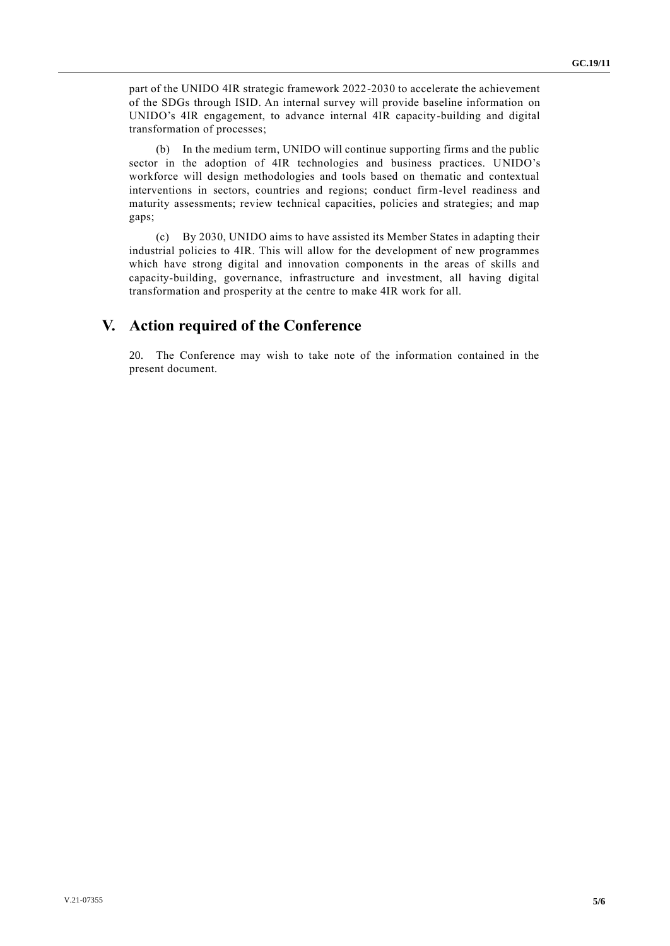part of the UNIDO 4IR strategic framework 2022-2030 to accelerate the achievement of the SDGs through ISID. An internal survey will provide baseline information on UNIDO's 4IR engagement, to advance internal 4IR capacity-building and digital transformation of processes;

(b) In the medium term, UNIDO will continue supporting firms and the public sector in the adoption of 4IR technologies and business practices. UNIDO's workforce will design methodologies and tools based on thematic and contextual interventions in sectors, countries and regions; conduct firm-level readiness and maturity assessments; review technical capacities, policies and strategies; and map gaps;

(c) By 2030, UNIDO aims to have assisted its Member States in adapting their industrial policies to 4IR. This will allow for the development of new programmes which have strong digital and innovation components in the areas of skills and capacity-building, governance, infrastructure and investment, all having digital transformation and prosperity at the centre to make 4IR work for all.

## **V. Action required of the Conference**

20. The Conference may wish to take note of the information contained in the present document.